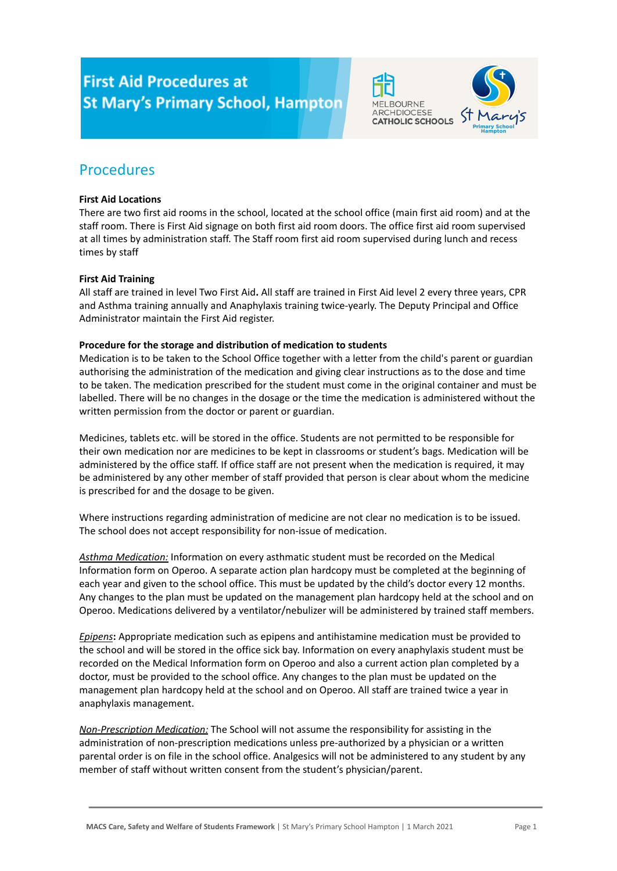# **First Aid Procedures at St Mary's Primary School, Hampton**



# Procedures

## **First Aid Locations**

There are two first aid rooms in the school, located at the school office (main first aid room) and at the staff room. There is First Aid signage on both first aid room doors. The office first aid room supervised at all times by administration staff. The Staff room first aid room supervised during lunch and recess times by staff

# **First Aid Training**

All staff are trained in level Two First Aid**.** All staff are trained in First Aid level 2 every three years, CPR and Asthma training annually and Anaphylaxis training twice-yearly. The Deputy Principal and Office Administrator maintain the First Aid register.

### **Procedure for the storage and distribution of medication to students**

Medication is to be taken to the School Office together with a letter from the child's parent or guardian authorising the administration of the medication and giving clear instructions as to the dose and time to be taken. The medication prescribed for the student must come in the original container and must be labelled. There will be no changes in the dosage or the time the medication is administered without the written permission from the doctor or parent or guardian.

Medicines, tablets etc. will be stored in the office. Students are not permitted to be responsible for their own medication nor are medicines to be kept in classrooms or student's bags. Medication will be administered by the office staff. If office staff are not present when the medication is required, it may be administered by any other member of staff provided that person is clear about whom the medicine is prescribed for and the dosage to be given.

Where instructions regarding administration of medicine are not clear no medication is to be issued. The school does not accept responsibility for non-issue of medication.

*Asthma Medication:* Information on every asthmatic student must be recorded on the Medical Information form on Operoo. A separate action plan hardcopy must be completed at the beginning of each year and given to the school office. This must be updated by the child's doctor every 12 months. Any changes to the plan must be updated on the management plan hardcopy held at the school and on Operoo. Medications delivered by a ventilator/nebulizer will be administered by trained staff members.

*Epipens***:** Appropriate medication such as epipens and antihistamine medication must be provided to the school and will be stored in the office sick bay. Information on every anaphylaxis student must be recorded on the Medical Information form on Operoo and also a current action plan completed by a doctor, must be provided to the school office. Any changes to the plan must be updated on the management plan hardcopy held at the school and on Operoo. All staff are trained twice a year in anaphylaxis management.

*Non-Prescription Medication:* The School will not assume the responsibility for assisting in the administration of non-prescription medications unless pre-authorized by a physician or a written parental order is on file in the school office. Analgesics will not be administered to any student by any member of staff without written consent from the student's physician/parent.